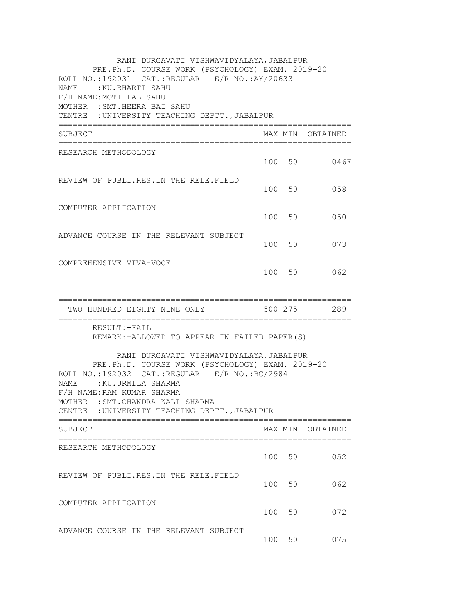| RANI DURGAVATI VISHWAVIDYALAYA, JABALPUR<br>PRE.Ph.D. COURSE WORK (PSYCHOLOGY) EXAM. 2019-20<br>ROLL NO.:192031 CAT.:REGULAR E/R NO.:AY/20633<br>NAME: : KU.BHARTI SAHU<br>F/H NAME: MOTI LAL SAHU<br>MOTHER : SMT. HEERA BAI SAHU<br>CENTRE : UNIVERSITY TEACHING DEPTT., JABALPUR<br>============== |         |                  |
|-------------------------------------------------------------------------------------------------------------------------------------------------------------------------------------------------------------------------------------------------------------------------------------------------------|---------|------------------|
| SUBJECT<br>;=====================                                                                                                                                                                                                                                                                     |         | MAX MIN OBTAINED |
| RESEARCH METHODOLOGY                                                                                                                                                                                                                                                                                  | 100 50  | 046F             |
| REVIEW OF PUBLI.RES.IN THE RELE.FIELD                                                                                                                                                                                                                                                                 | 100 50  | 058              |
| COMPUTER APPLICATION                                                                                                                                                                                                                                                                                  | 100 50  | 050              |
| ADVANCE COURSE IN THE RELEVANT SUBJECT                                                                                                                                                                                                                                                                | 100 50  | 073              |
| COMPREHENSIVE VIVA-VOCE                                                                                                                                                                                                                                                                               | 100 50  | 062              |
| TWO HUNDRED EIGHTY NINE ONLY                                                                                                                                                                                                                                                                          | 500 275 | 289              |
| RESULT: - FAIL<br>REMARK:-ALLOWED TO APPEAR IN FAILED PAPER(S)                                                                                                                                                                                                                                        |         |                  |
| RANI DURGAVATI VISHWAVIDYALAYA, JABALPUR<br>PRE.Ph.D. COURSE WORK (PSYCHOLOGY) EXAM. 2019-20<br>ROLL NO.:192032 CAT.:REGULAR E/R NO.:BC/2984<br>NAME<br>:KU.URMILA SHARMA<br>F/H NAME: RAM KUMAR SHARMA<br>MOTHER : SMT. CHANDRA KALI SHARMA<br>CENTRE : UNIVERSITY TEACHING DEPTT., JABALPUR         |         |                  |
| SUBJECT                                                                                                                                                                                                                                                                                               | MAX MIN | OBTAINED         |
| RESEARCH METHODOLOGY                                                                                                                                                                                                                                                                                  | 100 50  | 052              |
| REVIEW OF PUBLI.RES. IN THE RELE.FIELD                                                                                                                                                                                                                                                                | 100 50  | 062              |
| COMPUTER APPLICATION                                                                                                                                                                                                                                                                                  | 100 50  | 072              |
| ADVANCE COURSE IN THE RELEVANT SUBJECT                                                                                                                                                                                                                                                                | 100 50  | 075              |